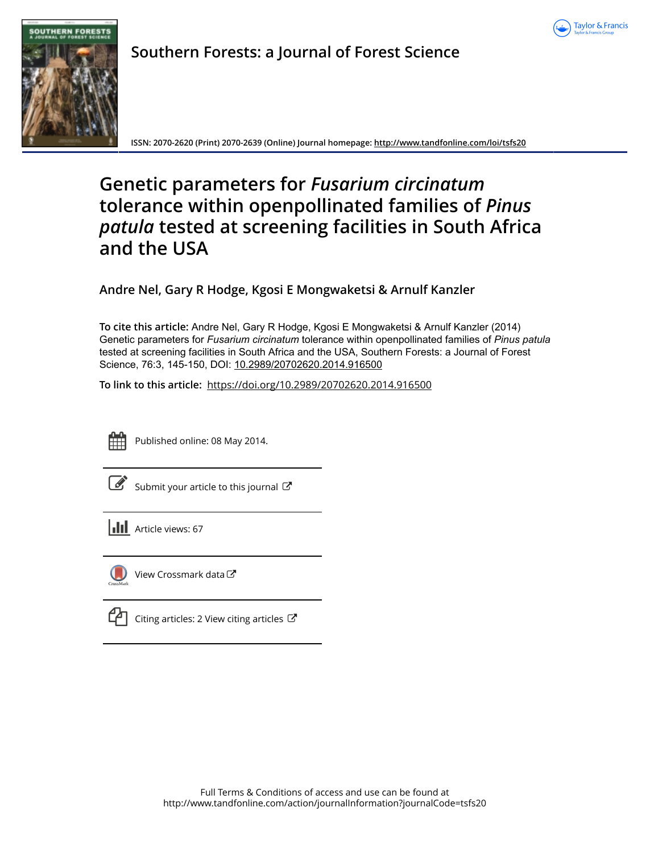



**Southern Forests: a Journal of Forest Science**

**ISSN: 2070-2620 (Print) 2070-2639 (Online) Journal homepage:<http://www.tandfonline.com/loi/tsfs20>**

# **Genetic parameters for** *Fusarium circinatum* **tolerance within openpollinated families of** *Pinus patula* **tested at screening facilities in South Africa and the USA**

**Andre Nel, Gary R Hodge, Kgosi E Mongwaketsi & Arnulf Kanzler**

**To cite this article:** Andre Nel, Gary R Hodge, Kgosi E Mongwaketsi & Arnulf Kanzler (2014) Genetic parameters for *Fusarium circinatum* tolerance within openpollinated families of *Pinus patula* tested at screening facilities in South Africa and the USA, Southern Forests: a Journal of Forest Science, 76:3, 145-150, DOI: [10.2989/20702620.2014.916500](http://www.tandfonline.com/action/showCitFormats?doi=10.2989/20702620.2014.916500)

**To link to this article:** <https://doi.org/10.2989/20702620.2014.916500>



Published online: 08 May 2014.

|--|

[Submit your article to this journal](http://www.tandfonline.com/action/authorSubmission?journalCode=tsfs20&show=instructions)  $\mathbb{Z}$ 

**III** Article views: 67



 $\Box$  [View Crossmark data](http://crossmark.crossref.org/dialog/?doi=10.2989/20702620.2014.916500&domain=pdf&date_stamp=2014-05-08) $\Box$ 

 $\Box$  [Citing articles: 2 View citing articles](http://www.tandfonline.com/doi/citedby/10.2989/20702620.2014.916500#tabModule)  $\Box$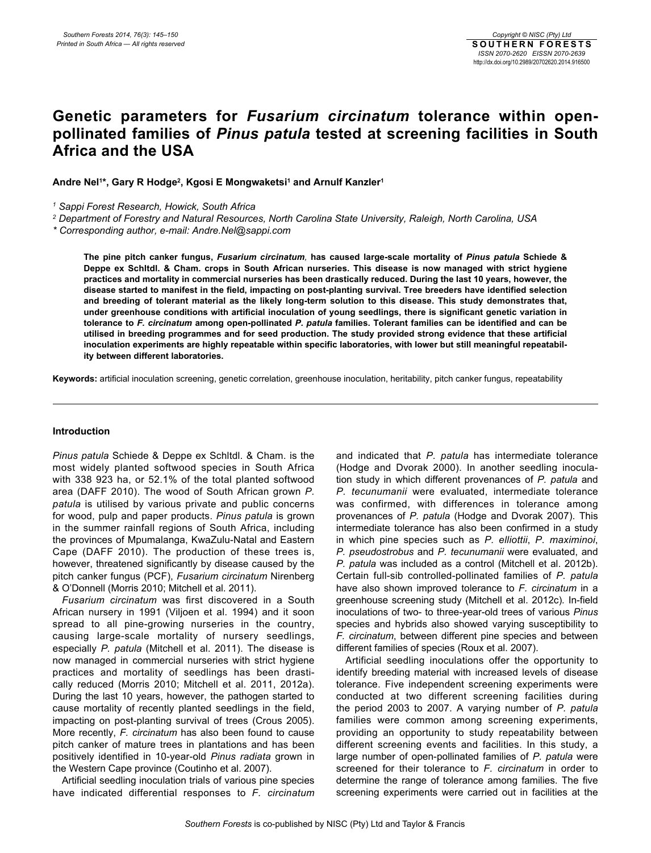# **Genetic parameters for** *Fusarium circinatum* **tolerance within openpollinated families of** *Pinus patula* **tested at screening facilities in South Africa and the USA**

Andre Nel<sup>1\*</sup>, Gary R Hodge<sup>2</sup>, Kgosi E Mongwaketsi<sup>1</sup> and Arnulf Kanzler<sup>1</sup>

*1 Sappi Forest Research, Howick, South Africa*

*2 Department of Forestry and Natural Resources, North Carolina State University, Raleigh, North Carolina, USA*

*\* Corresponding author, e-mail: Andre.Nel@sappi.com*

**The pine pitch canker fungus,** *Fusarium circinatum,* **has caused large-scale mortality of** *Pinus patula* **Schiede & Deppe ex Schltdl. & Cham. crops in South African nurseries. This disease is now managed with strict hygiene practices and mortality in commercial nurseries has been drastically reduced. During the last 10 years, however, the disease started to manifest in the field, impacting on post-planting survival. Tree breeders have identified selection and breeding of tolerant material as the likely long-term solution to this disease. This study demonstrates that, under greenhouse conditions with artificial inoculation of young seedlings, there is significant genetic variation in tolerance to** *F. circinatum* **among open-pollinated** *P. patula* **families. Tolerant families can be identified and can be utilised in breeding programmes and for seed production. The study provided strong evidence that these artificial inoculation experiments are highly repeatable within specific laboratories, with lower but still meaningful repeatability between different laboratories.** 

**Keywords:** artificial inoculation screening, genetic correlation, greenhouse inoculation, heritability, pitch canker fungus, repeatability

# **Introduction**

*Pinus patula* Schiede & Deppe ex Schltdl. & Cham. is the most widely planted softwood species in South Africa with 338 923 ha, or 52.1% of the total planted softwood area (DAFF 2010). The wood of South African grown *P. patula* is utilised by various private and public concerns for wood, pulp and paper products. *Pinus patula* is grown in the summer rainfall regions of South Africa, including the provinces of Mpumalanga, KwaZulu-Natal and Eastern Cape (DAFF 2010). The production of these trees is, however, threatened significantly by disease caused by the pitch canker fungus (PCF), *Fusarium circinatum* Nirenberg & O'Donnell (Morris 2010; Mitchell et al. 2011).

*Fusarium circinatum* was first discovered in a South African nursery in 1991 (Viljoen et al. 1994) and it soon spread to all pine-growing nurseries in the country, causing large-scale mortality of nursery seedlings, especially *P. patula* (Mitchell et al. 2011). The disease is now managed in commercial nurseries with strict hygiene practices and mortality of seedlings has been drastically reduced (Morris 2010; Mitchell et al. 2011, 2012a). During the last 10 years, however, the pathogen started to cause mortality of recently planted seedlings in the field, impacting on post-planting survival of trees (Crous 2005). More recently, *F. circinatum* has also been found to cause pitch canker of mature trees in plantations and has been positively identified in 10-year-old *Pinus radiata* grown in the Western Cape province (Coutinho et al. 2007).

Artificial seedling inoculation trials of various pine species have indicated differential responses to *F. circinatum* and indicated that *P. patula* has intermediate tolerance (Hodge and Dvorak 2000). In another seedling inoculation study in which different provenances of *P. patula* and *P. tecunumanii* were evaluated, intermediate tolerance was confirmed, with differences in tolerance among provenances of *P. patula* (Hodge and Dvorak 2007). This intermediate tolerance has also been confirmed in a study in which pine species such as *P. elliottii*, *P. maximinoi*, *P. pseudostrobus* and *P. tecunumanii* were evaluated, and *P. patula* was included as a control (Mitchell et al. 2012b). Certain full-sib controlled-pollinated families of *P. patula* have also shown improved tolerance to *F. circinatum* in a greenhouse screening study (Mitchell et al. 2012c)*.* In-field inoculations of two- to three-year-old trees of various *Pinus* species and hybrids also showed varying susceptibility to *F. circinatum*, between different pine species and between different families of species (Roux et al. 2007).

Artificial seedling inoculations offer the opportunity to identify breeding material with increased levels of disease tolerance. Five independent screening experiments were conducted at two different screening facilities during the period 2003 to 2007. A varying number of *P. patula* families were common among screening experiments, providing an opportunity to study repeatability between different screening events and facilities. In this study, a large number of open-pollinated families of *P. patula* were screened for their tolerance to *F. circinatum* in order to determine the range of tolerance among families. The five screening experiments were carried out in facilities at the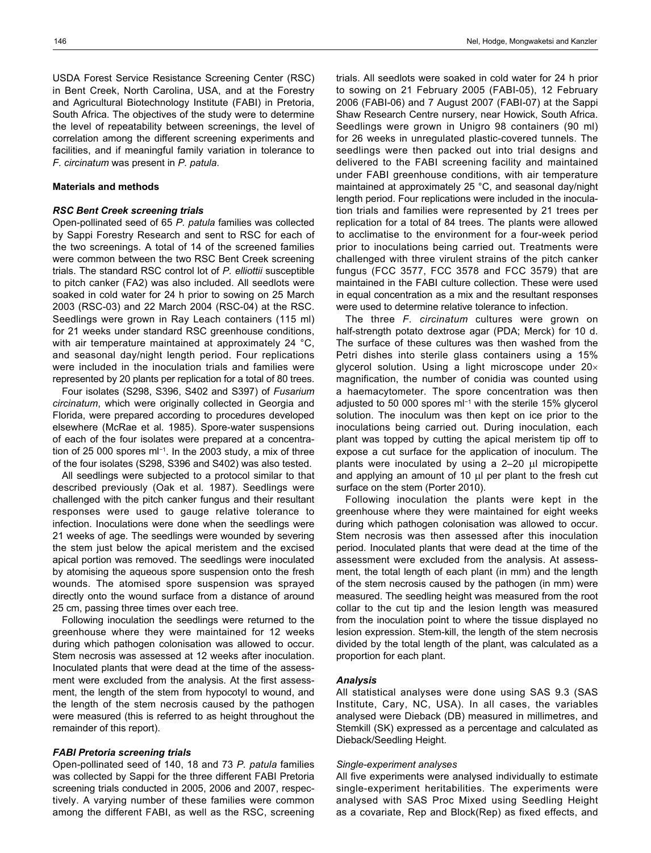USDA Forest Service Resistance Screening Center (RSC) in Bent Creek, North Carolina, USA, and at the Forestry and Agricultural Biotechnology Institute (FABI) in Pretoria, South Africa. The objectives of the study were to determine the level of repeatability between screenings, the level of correlation among the different screening experiments and facilities, and if meaningful family variation in tolerance to *F. circinatum* was present in *P. patula*.

#### **Materials and methods**

#### *RSC Bent Creek screening trials*

Open-pollinated seed of 65 *P. patula* families was collected by Sappi Forestry Research and sent to RSC for each of the two screenings. A total of 14 of the screened families were common between the two RSC Bent Creek screening trials. The standard RSC control lot of *P. elliottii* susceptible to pitch canker (FA2) was also included. All seedlots were soaked in cold water for 24 h prior to sowing on 25 March 2003 (RSC-03) and 22 March 2004 (RSC-04) at the RSC. Seedlings were grown in Ray Leach containers (115 ml) for 21 weeks under standard RSC greenhouse conditions, with air temperature maintained at approximately 24 °C, and seasonal day/night length period. Four replications were included in the inoculation trials and families were represented by 20 plants per replication for a total of 80 trees.

Four isolates (S298, S396, S402 and S397) of *Fusarium circinatum*, which were originally collected in Georgia and Florida, were prepared according to procedures developed elsewhere (McRae et al*.* 1985). Spore-water suspensions of each of the four isolates were prepared at a concentration of 25 000 spores ml<sup>−1</sup>. In the 2003 study, a mix of three of the four isolates (S298, S396 and S402) was also tested.

All seedlings were subjected to a protocol similar to that described previously (Oak et al*.* 1987). Seedlings were challenged with the pitch canker fungus and their resultant responses were used to gauge relative tolerance to infection. Inoculations were done when the seedlings were 21 weeks of age. The seedlings were wounded by severing the stem just below the apical meristem and the excised apical portion was removed. The seedlings were inoculated by atomising the aqueous spore suspension onto the fresh wounds. The atomised spore suspension was sprayed directly onto the wound surface from a distance of around 25 cm, passing three times over each tree.

Following inoculation the seedlings were returned to the greenhouse where they were maintained for 12 weeks during which pathogen colonisation was allowed to occur. Stem necrosis was assessed at 12 weeks after inoculation. Inoculated plants that were dead at the time of the assessment were excluded from the analysis. At the first assessment, the length of the stem from hypocotyl to wound, and the length of the stem necrosis caused by the pathogen were measured (this is referred to as height throughout the remainder of this report).

#### *FABI Pretoria screening trials*

Open-pollinated seed of 140, 18 and 73 *P. patula* families was collected by Sappi for the three different FABI Pretoria screening trials conducted in 2005, 2006 and 2007, respectively. A varying number of these families were common among the different FABI, as well as the RSC, screening

trials. All seedlots were soaked in cold water for 24 h prior to sowing on 21 February 2005 (FABI-05), 12 February 2006 (FABI-06) and 7 August 2007 (FABI-07) at the Sappi Shaw Research Centre nursery, near Howick, South Africa. Seedlings were grown in Unigro 98 containers (90 ml) for 26 weeks in unregulated plastic-covered tunnels. The seedlings were then packed out into trial designs and delivered to the FABI screening facility and maintained under FABI greenhouse conditions, with air temperature maintained at approximately 25 °C, and seasonal day/night length period. Four replications were included in the inoculation trials and families were represented by 21 trees per replication for a total of 84 trees. The plants were allowed to acclimatise to the environment for a four-week period prior to inoculations being carried out. Treatments were challenged with three virulent strains of the pitch canker fungus (FCC 3577, FCC 3578 and FCC 3579) that are maintained in the FABI culture collection. These were used in equal concentration as a mix and the resultant responses were used to determine relative tolerance to infection.

The three *F. circinatum* cultures were grown on half-strength potato dextrose agar (PDA; Merck) for 10 d. The surface of these cultures was then washed from the Petri dishes into sterile glass containers using a 15% glycerol solution. Using a light microscope under  $20 \times$ magnification, the number of conidia was counted using a haemacytometer. The spore concentration was then adjusted to 50 000 spores ml−1 with the sterile 15% glycerol solution. The inoculum was then kept on ice prior to the inoculations being carried out. During inoculation, each plant was topped by cutting the apical meristem tip off to expose a cut surface for the application of inoculum. The plants were inoculated by using a  $2-20$   $\mu$ l micropipette and applying an amount of 10  $\mu$  per plant to the fresh cut surface on the stem (Porter 2010).

Following inoculation the plants were kept in the greenhouse where they were maintained for eight weeks during which pathogen colonisation was allowed to occur. Stem necrosis was then assessed after this inoculation period. Inoculated plants that were dead at the time of the assessment were excluded from the analysis. At assessment, the total length of each plant (in mm) and the length of the stem necrosis caused by the pathogen (in mm) were measured. The seedling height was measured from the root collar to the cut tip and the lesion length was measured from the inoculation point to where the tissue displayed no lesion expression. Stem-kill, the length of the stem necrosis divided by the total length of the plant, was calculated as a proportion for each plant.

#### *Analysis*

All statistical analyses were done using SAS 9.3 (SAS Institute, Cary, NC, USA). In all cases, the variables analysed were Dieback (DB) measured in millimetres, and Stemkill (SK) expressed as a percentage and calculated as Dieback/Seedling Height.

#### *Single-experiment analyses*

All five experiments were analysed individually to estimate single-experiment heritabilities. The experiments were analysed with SAS Proc Mixed using Seedling Height as a covariate, Rep and Block(Rep) as fixed effects, and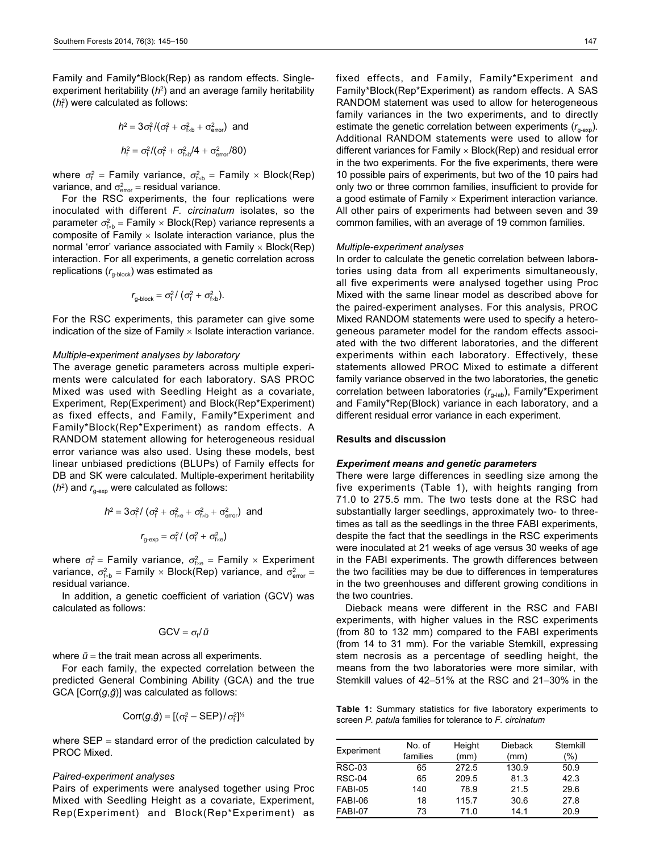Family and Family\*Block(Rep) as random effects. Singleexperiment heritability ( $h^2$ ) and an average family heritability (*h*<sup>2</sup>) were calculated as follows:

$$
h^2 = 3\sigma_f^2 / (\sigma_f^2 + \sigma_{fxb}^2 + \sigma_{error}^2)
$$
 and  

$$
h_f^2 = \sigma_f^2 / (\sigma_f^2 + \sigma_{fxb}^2 / 4 + \sigma_{error}^2 / 80)
$$

where  $\sigma_f^2$  = Family variance,  $\sigma_{fxb}^2$  = Family  $\times$  Block(Rep) variance, and  $\sigma^2_{\text{error}} = \text{residual variance}.$ 

For the RSC experiments, the four replications were inoculated with different *F. circinatum* isolates, so the parameter  $\sigma_{f_{\kappa b}}^2$  = Family  $\times$  Block(Rep) variance represents a composite of Family  $\times$  Isolate interaction variance, plus the normal 'error' variance associated with  $Family \times Block(Rep)$ interaction. For all experiments, a genetic correlation across replications  $(r_{g\text{-block}})$  was estimated as

$$
r_{\text{g-block}} = \sigma_{\text{f}}^2 / (\sigma_{\text{f}}^2 + \sigma_{\text{fxb}}^2).
$$

For the RSC experiments, this parameter can give some indication of the size of Family  $\times$  Isolate interaction variance.

# *Multiple-experiment analyses by laboratory*

The average genetic parameters across multiple experiments were calculated for each laboratory. SAS PROC Mixed was used with Seedling Height as a covariate, Experiment, Rep(Experiment) and Block(Rep\*Experiment) as fixed effects, and Family, Family\*Experiment and Family\*Block(Rep\*Experiment) as random effects. A RANDOM statement allowing for heterogeneous residual error variance was also used. Using these models, best linear unbiased predictions (BLUPs) of Family effects for DB and SK were calculated. Multiple-experiment heritability  $(h^2)$  and  $r_{\text{q-exr}}$  were calculated as follows:

$$
h^2 = 3\sigma_f^2 / (\sigma_f^2 + \sigma_{f \times e}^2 + \sigma_{f \times b}^2 + \sigma_{\text{error}}^2)
$$
 and  

$$
r_{g \text{-exp}} = \sigma_f^2 / (\sigma_f^2 + \sigma_{f \times e}^2)
$$

where  $\sigma_f^2$  = Family variance,  $\sigma_{f_{xe}}^2$  = Family  $\times$  Experiment variance,  $\sigma_{\!f\star b}^2 =$  Family  $\times$  Block(Rep) variance, and  $\sigma_{\sf error}^2 =$ residual variance.

In addition, a genetic coefficient of variation (GCV) was calculated as follows:

$$
GCV = \sigma_f / \bar{u}
$$

where  $\bar{u}$  = the trait mean across all experiments.

For each family, the expected correlation between the predicted General Combining Ability (GCA) and the true GCA [Corr(*g*,*ĝ*)] was calculated as follows:

$$
Corr(g,\hat{g})=[(\sigma_{f}^{2}-SEP)/\sigma_{f}^{2}]^{\frac{1}{2}}
$$

where  $SEP = standard$  error of the prediction calculated by PROC Mixed.

#### *Paired-experiment analyses*

Pairs of experiments were analysed together using Proc Mixed with Seedling Height as a covariate, Experiment, Rep(Experiment) and Block(Rep\*Experiment) as

fixed effects, and Family, Family\*Experiment and Family\*Block(Rep\*Experiment) as random effects. A SAS RANDOM statement was used to allow for heterogeneous family variances in the two experiments, and to directly estimate the genetic correlation between experiments  $(r_{\text{new}})$ . Additional RANDOM statements were used to allow for different variances for Family  $\times$  Block(Rep) and residual error in the two experiments. For the five experiments, there were 10 possible pairs of experiments, but two of the 10 pairs had only two or three common families, insufficient to provide for a good estimate of Family  $\times$  Experiment interaction variance. All other pairs of experiments had between seven and 39 common families, with an average of 19 common families.

## *Multiple-experiment analyses*

In order to calculate the genetic correlation between laboratories using data from all experiments simultaneously, all five experiments were analysed together using Proc Mixed with the same linear model as described above for the paired-experiment analyses. For this analysis, PROC Mixed RANDOM statements were used to specify a heterogeneous parameter model for the random effects associated with the two different laboratories, and the different experiments within each laboratory. Effectively, these statements allowed PROC Mixed to estimate a different family variance observed in the two laboratories, the genetic correlation between laboratories ( $r_{\text{g-lab}}$ ), Family\*Experiment and Family\*Rep(Block) variance in each laboratory, and a different residual error variance in each experiment.

## **Results and discussion**

# *Experiment means and genetic parameters*

There were large differences in seedling size among the five experiments (Table 1), with heights ranging from 71.0 to 275.5 mm. The two tests done at the RSC had substantially larger seedlings, approximately two- to threetimes as tall as the seedlings in the three FABI experiments, despite the fact that the seedlings in the RSC experiments were inoculated at 21 weeks of age versus 30 weeks of age in the FABI experiments. The growth differences between the two facilities may be due to differences in temperatures in the two greenhouses and different growing conditions in the two countries.

Dieback means were different in the RSC and FABI experiments, with higher values in the RSC experiments (from 80 to 132 mm) compared to the FABI experiments (from 14 to 31 mm). For the variable Stemkill, expressing stem necrosis as a percentage of seedling height, the means from the two laboratories were more similar, with Stemkill values of 42–51% at the RSC and 21–30% in the

**Table 1:** Summary statistics for five laboratory experiments to screen *P. patula* families for tolerance to *F. circinatum*

| Experiment    | No. of   | Height | <b>Dieback</b>  | Stemkill |
|---------------|----------|--------|-----------------|----------|
|               | families | (mm)   | (mm)            | (%)      |
| <b>RSC-03</b> | 65       | 272.5  | 130.9           | 50.9     |
| <b>RSC-04</b> | 65       | 209.5  | 81.3            | 42.3     |
| FABI-05       | 140      | 78.9   | 21.5            | 29.6     |
| FABI-06       | 18       | 115.7  | 30.6            | 27.8     |
| FABI-07       | 73       | 71.0   | 14 <sub>1</sub> | 20.9     |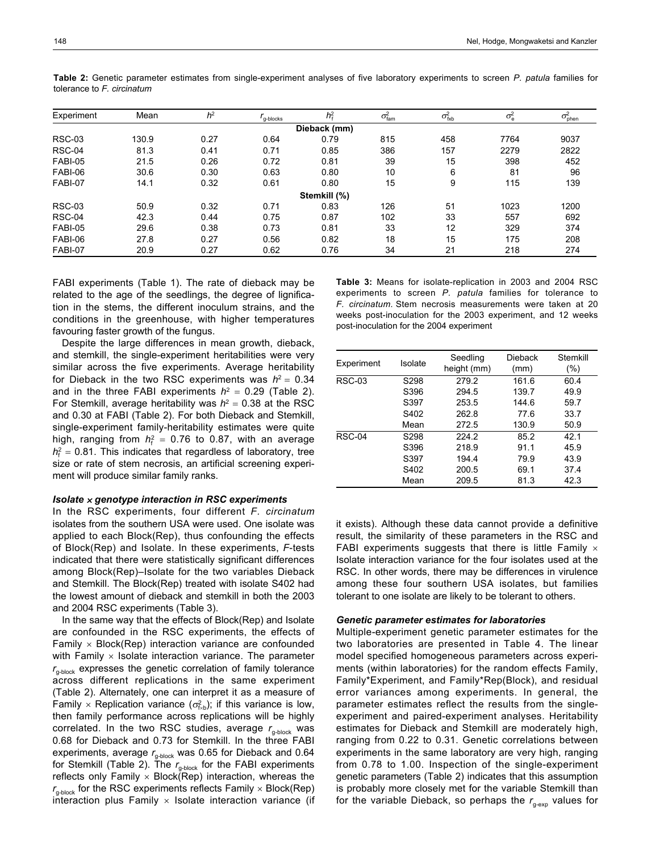| Experiment    | Mean  | h <sup>2</sup> | <sup>r</sup> q-blocks | $h^2$        | $\sigma_{\text{fam}}^2$ | $\sigma_{\text{fxb}}^2$ | $\sigma_{\rm e}^2$ | $\sigma^2_{\rm phen}$ |  |
|---------------|-------|----------------|-----------------------|--------------|-------------------------|-------------------------|--------------------|-----------------------|--|
| Dieback (mm)  |       |                |                       |              |                         |                         |                    |                       |  |
| <b>RSC-03</b> | 130.9 | 0.27           | 0.64                  | 0.79         | 815                     | 458                     | 7764               | 9037                  |  |
| RSC-04        | 81.3  | 0.41           | 0.71                  | 0.85         | 386                     | 157                     | 2279               | 2822                  |  |
| FABI-05       | 21.5  | 0.26           | 0.72                  | 0.81         | 39                      | 15                      | 398                | 452                   |  |
| FABI-06       | 30.6  | 0.30           | 0.63                  | 0.80         | 10                      | 6                       | 81                 | 96                    |  |
| FABI-07       | 14.1  | 0.32           | 0.61                  | 0.80         | 15                      | 9                       | 115                | 139                   |  |
|               |       |                |                       | Stemkill (%) |                         |                         |                    |                       |  |
| <b>RSC-03</b> | 50.9  | 0.32           | 0.71                  | 0.83         | 126                     | 51                      | 1023               | 1200                  |  |
| <b>RSC-04</b> | 42.3  | 0.44           | 0.75                  | 0.87         | 102                     | 33                      | 557                | 692                   |  |
| FABI-05       | 29.6  | 0.38           | 0.73                  | 0.81         | 33                      | 12                      | 329                | 374                   |  |
| FABI-06       | 27.8  | 0.27           | 0.56                  | 0.82         | 18                      | 15                      | 175                | 208                   |  |
| FABI-07       | 20.9  | 0.27           | 0.62                  | 0.76         | 34                      | 21                      | 218                | 274                   |  |

**Table 2:** Genetic parameter estimates from single-experiment analyses of five laboratory experiments to screen *P. patula* families for tolerance to *F. circinatum*

FABI experiments (Table 1). The rate of dieback may be related to the age of the seedlings, the degree of lignification in the stems, the different inoculum strains, and the conditions in the greenhouse, with higher temperatures favouring faster growth of the fungus.

Despite the large differences in mean growth, dieback, and stemkill, the single-experiment heritabilities were very similar across the five experiments. Average heritability for Dieback in the two RSC experiments was  $h^2 = 0.34$ and in the three FABI experiments  $h^2 = 0.29$  (Table 2). For Stemkill, average heritability was  $h^2 = 0.38$  at the RSC and 0.30 at FABI (Table 2). For both Dieback and Stemkill, single-experiment family-heritability estimates were quite high, ranging from  $h_f^2 = 0.76$  to 0.87, with an average  $h_f^2 = 0.81$ . This indicates that regardless of laboratory, tree size or rate of stem necrosis, an artificial screening experiment will produce similar family ranks.

#### *Isolate genotype interaction in RSC experiments*

In the RSC experiments, four different *F. circinatum* isolates from the southern USA were used. One isolate was applied to each Block(Rep), thus confounding the effects of Block(Rep) and Isolate. In these experiments, *F*-tests indicated that there were statistically significant differences among Block(Rep)–Isolate for the two variables Dieback and Stemkill. The Block(Rep) treated with isolate S402 had the lowest amount of dieback and stemkill in both the 2003 and 2004 RSC experiments (Table 3).

In the same way that the effects of Block(Rep) and Isolate are confounded in the RSC experiments, the effects of Family  $\times$  Block(Rep) interaction variance are confounded with Family  $\times$  Isolate interaction variance. The parameter  $r_{q\text{-block}}$  expresses the genetic correlation of family tolerance across different replications in the same experiment (Table 2). Alternately, one can interpret it as a measure of Family  $\times$  Replication variance ( $\sigma_{f_{\kappa b}}^2$ ); if this variance is low, then family performance across replications will be highly correlated. In the two RSC studies, average  $r_{q\text{-block}}$  was 0.68 for Dieback and 0.73 for Stemkill. In the three FABI experiments, average  $r_{g\text{-block}}$  was 0.65 for Dieback and 0.64 for Stemkill (Table 2). The  $r_{q\text{-block}}$  for the FABI experiments reflects only Family  $\times$  Block(Rep) interaction, whereas the  $r_{\text{g-block}}$  for the RSC experiments reflects Family  $\times$  Block(Rep) interaction plus Family  $\times$  Isolate interaction variance (if

**Table 3:** Means for isolate-replication in 2003 and 2004 RSC experiments to screen *P. patula* families for tolerance to *F. circinatum*. Stem necrosis measurements were taken at 20 weeks post-inoculation for the 2003 experiment, and 12 weeks post-inoculation for the 2004 experiment

| Experiment    | Isolate | Seedling<br>height (mm) | Dieback<br>(mm) | Stemkill<br>$(\%)$ |
|---------------|---------|-------------------------|-----------------|--------------------|
| <b>RSC-03</b> | S298    | 279.2                   | 161.6           | 60.4               |
|               | S396    | 294.5                   | 139.7           | 49.9               |
|               | S397    | 253.5                   | 144.6           | 59.7               |
|               | S402    | 262.8                   | 77.6            | 33.7               |
|               | Mean    | 272.5                   | 130.9           | 50.9               |
| <b>RSC-04</b> | S298    | 224.2                   | 85.2            | 42.1               |
|               | S396    | 218.9                   | 91.1            | 45.9               |
|               | S397    | 194.4                   | 79.9            | 43.9               |
|               | S402    | 200.5                   | 69.1            | 37.4               |
|               | Mean    | 209.5                   | 81.3            | 42.3               |

it exists). Although these data cannot provide a definitive result, the similarity of these parameters in the RSC and FABI experiments suggests that there is little Family  $\times$ Isolate interaction variance for the four isolates used at the RSC. In other words, there may be differences in virulence among these four southern USA isolates, but families tolerant to one isolate are likely to be tolerant to others.

#### *Genetic parameter estimates for laboratories*

Multiple-experiment genetic parameter estimates for the two laboratories are presented in Table 4. The linear model specified homogeneous parameters across experiments (within laboratories) for the random effects Family, Family\*Experiment, and Family\*Rep(Block), and residual error variances among experiments. In general, the parameter estimates reflect the results from the singleexperiment and paired-experiment analyses. Heritability estimates for Dieback and Stemkill are moderately high, ranging from 0.22 to 0.31. Genetic correlations between experiments in the same laboratory are very high, ranging from 0.78 to 1.00. Inspection of the single-experiment genetic parameters (Table 2) indicates that this assumption is probably more closely met for the variable Stemkill than for the variable Dieback, so perhaps the  $r_{\text{g-exo}}$  values for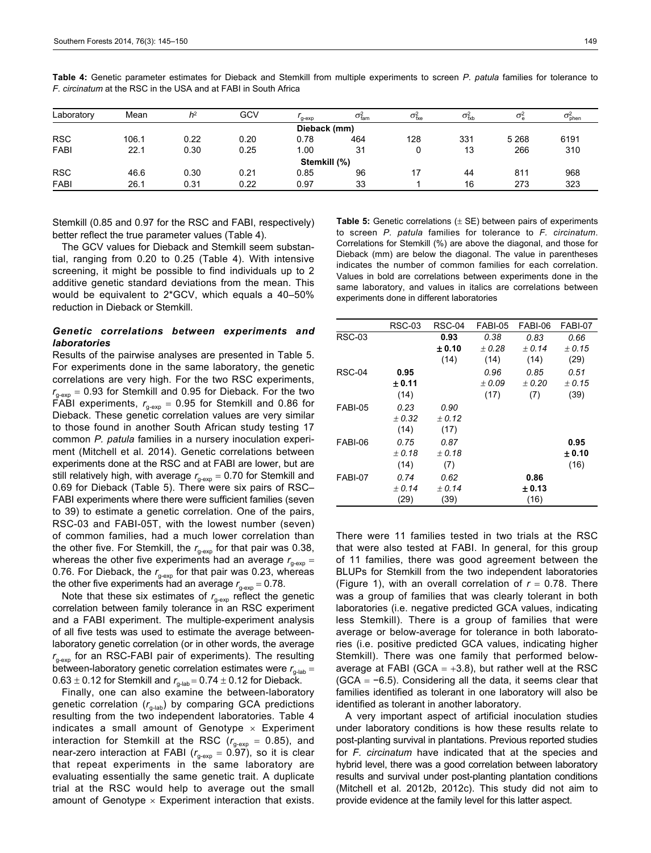| Laboratory   | Mean  | h <sup>2</sup> | GCV  | $q$ - $exp$ | $\sigma^2_{\text{fam}}$ | $\sigma_{\rm fxe}^2$ | $\sigma_{\text{fxb}}^2$ | $\sigma_{\rm e}^2$ | $\sigma_{\texttt{phen}}^2$ |
|--------------|-------|----------------|------|-------------|-------------------------|----------------------|-------------------------|--------------------|----------------------------|
| Dieback (mm) |       |                |      |             |                         |                      |                         |                    |                            |
| <b>RSC</b>   | 106.1 | 0.22           | 0.20 | 0.78        | 464                     | 128                  | 331                     | 5 2 6 8            | 6191                       |
| <b>FABI</b>  | 22.1  | 0.30           | 0.25 | 1.00        | 31                      | 0                    | 13                      | 266                | 310                        |
| Stemkill (%) |       |                |      |             |                         |                      |                         |                    |                            |
| <b>RSC</b>   | 46.6  | 0.30           | 0.21 | 0.85        | 96                      | 17                   | 44                      | 811                | 968                        |
| <b>FABI</b>  | 26.1  | 0.31           | 0.22 | 0.97        | 33                      |                      | 16                      | 273                | 323                        |

**Table 4:** Genetic parameter estimates for Dieback and Stemkill from multiple experiments to screen *P. patula* families for tolerance to *F. circinatum* at the RSC in the USA and at FABI in South Africa

Stemkill (0.85 and 0.97 for the RSC and FABI, respectively) better reflect the true parameter values (Table 4).

The GCV values for Dieback and Stemkill seem substantial, ranging from 0.20 to 0.25 (Table 4). With intensive screening, it might be possible to find individuals up to 2 additive genetic standard deviations from the mean. This would be equivalent to 2\*GCV, which equals a 40–50% reduction in Dieback or Stemkill.

# *Genetic correlations between experiments and laboratories*

Results of the pairwise analyses are presented in Table 5. For experiments done in the same laboratory, the genetic correlations are very high. For the two RSC experiments,  $r_{g\text{-exp}} = 0.93$  for Stemkill and 0.95 for Dieback. For the two FABI experiments,  $r_{q\text{-exp}} = 0.95$  for Stemkill and 0.86 for Dieback. These genetic correlation values are very similar to those found in another South African study testing 17 common *P. patula* families in a nursery inoculation experiment (Mitchell et al*.* 2014). Genetic correlations between experiments done at the RSC and at FABI are lower, but are still relatively high, with average  $r_{\text{gen}} = 0.70$  for Stemkill and 0.69 for Dieback (Table 5). There were six pairs of RSC– FABI experiments where there were sufficient families (seven to 39) to estimate a genetic correlation. One of the pairs, RSC-03 and FABI-05T, with the lowest number (seven) of common families, had a much lower correlation than the other five. For Stemkill, the  $r_{q\text{-exp}}$  for that pair was 0.38, whereas the other five experiments had an average  $r_{g\text{-exp}} =$ 0.76. For Dieback, the  $r_{q\text{-exp}}$  for that pair was 0.23, whereas the other five experiments had an average  $r_{\text{q-exp}} = 0.78$ .

Note that these six estimates of  $r_{\text{g-exp}}$  reflect the genetic correlation between family tolerance in an RSC experiment and a FABI experiment. The multiple-experiment analysis of all five tests was used to estimate the average betweenlaboratory genetic correlation (or in other words, the average  $r_{\text{q-exn}}$  for an RSC-FABI pair of experiments). The resulting between-laboratory genetic correlation estimates were  $r_{q-1ab}$  =  $0.63 \pm 0.12$  for Stemkill and  $r_{q\text{-lab}} = 0.74 \pm 0.12$  for Dieback.

Finally, one can also examine the between-laboratory genetic correlation  $(r<sub>g-lab</sub>)$  by comparing GCA predictions resulting from the two independent laboratories. Table 4 indicates a small amount of Genotype  $\times$  Experiment interaction for Stemkill at the RSC ( $r_{g\text{-exp}}$  = 0.85), and near-zero interaction at FABI ( $r_{g\text{-exp}} = 0.97$ ), so it is clear that repeat experiments in the same laboratory are evaluating essentially the same genetic trait. A duplicate trial at the RSC would help to average out the small amount of Genotype  $\times$  Experiment interaction that exists.

**Table 5:** Genetic correlations  $(\pm$  SE) between pairs of experiments to screen *P. patula* families for tolerance to *F. circinatum*. Correlations for Stemkill (%) are above the diagonal, and those for Dieback (mm) are below the diagonal. The value in parentheses indicates the number of common families for each correlation. Values in bold are correlations between experiments done in the same laboratory, and values in italics are correlations between experiments done in different laboratories

|               | <b>RSC-03</b> | <b>RSC-04</b> | FABI-05 | FABI-06 | FABI-07 |
|---------------|---------------|---------------|---------|---------|---------|
| <b>RSC-03</b> |               | 0.93          | 0.38    | 0.83    | 0.66    |
|               |               | ± 0.10        | ±0.28   | ± 0.14  | ± 0.15  |
|               |               | (14)          | (14)    | (14)    | (29)    |
| <b>RSC-04</b> | 0.95          |               | 0.96    | 0.85    | 0.51    |
|               | ± 0.11        |               | ±0.09   | ± 0.20  | ± 0.15  |
|               | (14)          |               | (17)    | (7)     | (39)    |
| FABI-05       | 0.23          | 0.90          |         |         |         |
|               | ± 0.32        | ± 0.12        |         |         |         |
|               | (14)          | (17)          |         |         |         |
| FABI-06       | 0.75          | 0.87          |         |         | 0.95    |
|               | ±0.18         | ±0.18         |         |         | ± 0.10  |
|               | (14)          | (7)           |         |         | (16)    |
| FABI-07       | 0.74          | 0.62          |         | 0.86    |         |
|               | ± 0.14        | ± 0.14        |         | ± 0.13  |         |
|               | (29)          | (39)          |         | (16)    |         |
|               |               |               |         |         |         |

There were 11 families tested in two trials at the RSC that were also tested at FABI. In general, for this group of 11 families, there was good agreement between the BLUPs for Stemkill from the two independent laboratories (Figure 1), with an overall correlation of  $r = 0.78$ . There was a group of families that was clearly tolerant in both laboratories (i.e. negative predicted GCA values, indicating less Stemkill). There is a group of families that were average or below-average for tolerance in both laboratories (i.e. positive predicted GCA values, indicating higher Stemkill). There was one family that performed belowaverage at FABI (GCA  $= +3.8$ ), but rather well at the RSC  $(GCA = -6.5)$ . Considering all the data, it seems clear that families identified as tolerant in one laboratory will also be identified as tolerant in another laboratory.

A very important aspect of artificial inoculation studies under laboratory conditions is how these results relate to post-planting survival in plantations. Previous reported studies for *F. circinatum* have indicated that at the species and hybrid level, there was a good correlation between laboratory results and survival under post-planting plantation conditions (Mitchell et al*.* 2012b, 2012c). This study did not aim to provide evidence at the family level for this latter aspect.